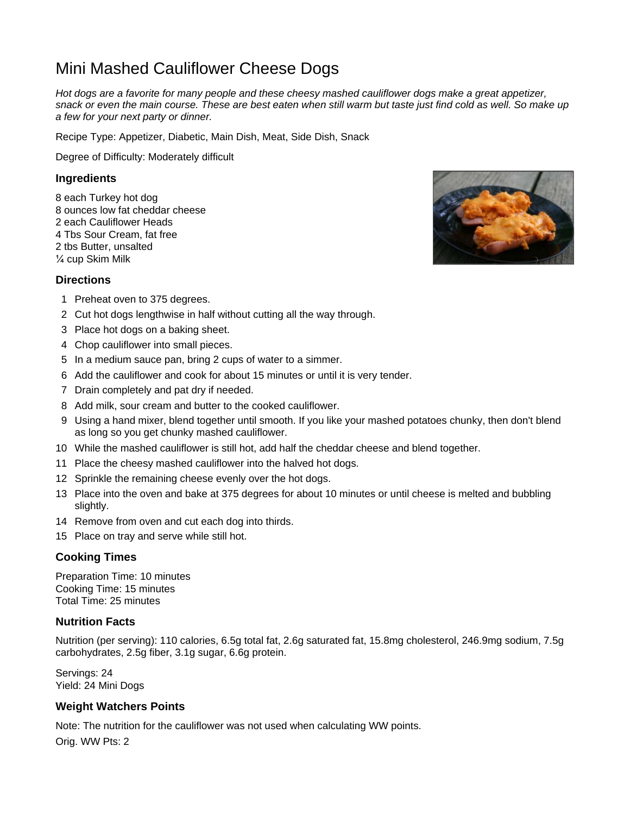# Mini Mashed Cauliflower Cheese Dogs

*Hot dogs are a favorite for many people and these cheesy mashed cauliflower dogs make a great appetizer, snack or even the main course. These are best eaten when still warm but taste just find cold as well. So make up a few for your next party or dinner.*

Recipe Type: Appetizer, Diabetic, Main Dish, Meat, Side Dish, Snack

Degree of Difficulty: Moderately difficult

#### **Ingredients**

8 each Turkey hot dog 8 ounces low fat cheddar cheese 2 each Cauliflower Heads 4 Tbs Sour Cream, fat free 2 tbs Butter, unsalted ¼ cup Skim Milk

# **Directions**

- 1 Preheat oven to 375 degrees.
- 2 Cut hot dogs lengthwise in half without cutting all the way through.
- 3 Place hot dogs on a baking sheet.
- 4 Chop cauliflower into small pieces.
- 5 In a medium sauce pan, bring 2 cups of water to a simmer.
- 6 Add the cauliflower and cook for about 15 minutes or until it is very tender.
- 7 Drain completely and pat dry if needed.
- 8 Add milk, sour cream and butter to the cooked cauliflower.
- 9 Using a hand mixer, blend together until smooth. If you like your mashed potatoes chunky, then don't blend as long so you get chunky mashed cauliflower.
- 10 While the mashed cauliflower is still hot, add half the cheddar cheese and blend together.
- 11 Place the cheesy mashed cauliflower into the halved hot dogs.
- 12 Sprinkle the remaining cheese evenly over the hot dogs.
- 13 Place into the oven and bake at 375 degrees for about 10 minutes or until cheese is melted and bubbling slightly.
- 14 Remove from oven and cut each dog into thirds.
- 15 Place on tray and serve while still hot.

### **Cooking Times**

Preparation Time: 10 minutes Cooking Time: 15 minutes Total Time: 25 minutes

#### **Nutrition Facts**

Nutrition (per serving): 110 calories, 6.5g total fat, 2.6g saturated fat, 15.8mg cholesterol, 246.9mg sodium, 7.5g carbohydrates, 2.5g fiber, 3.1g sugar, 6.6g protein.

Servings: 24 Yield: 24 Mini Dogs

### **Weight Watchers Points**

Note: The nutrition for the cauliflower was not used when calculating WW points. Orig. WW Pts: 2